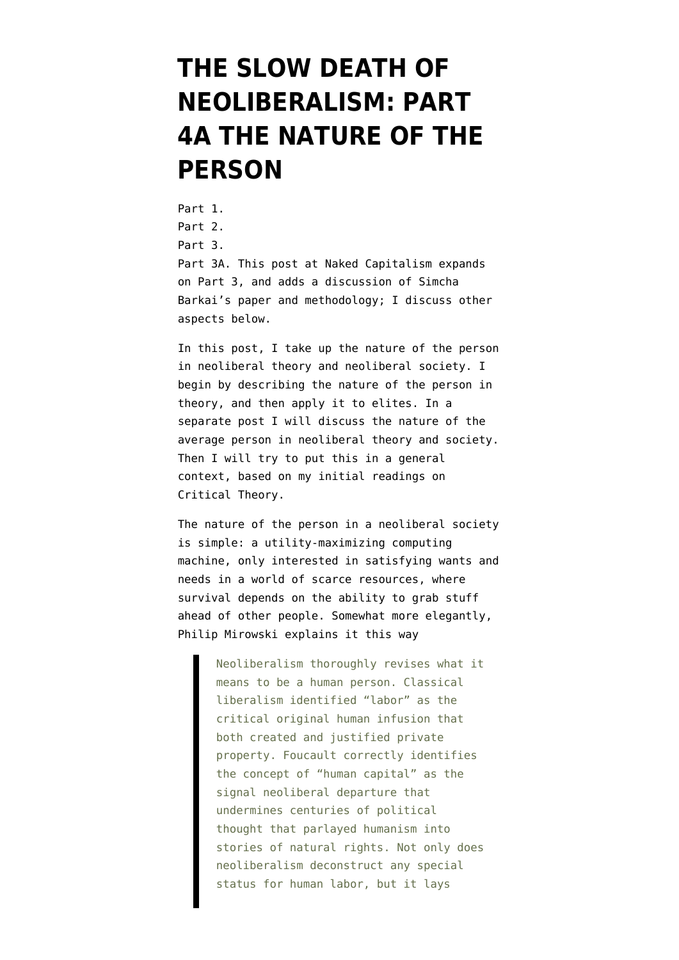## **[THE SLOW DEATH OF](https://www.emptywheel.net/2017/11/04/the-slow-death-of-neoliberalism-part-4a-the-nature-of-the-person/) [NEOLIBERALISM: PART](https://www.emptywheel.net/2017/11/04/the-slow-death-of-neoliberalism-part-4a-the-nature-of-the-person/) [4A THE NATURE OF THE](https://www.emptywheel.net/2017/11/04/the-slow-death-of-neoliberalism-part-4a-the-nature-of-the-person/) [PERSON](https://www.emptywheel.net/2017/11/04/the-slow-death-of-neoliberalism-part-4a-the-nature-of-the-person/)**

[Part 1](https://www.emptywheel.net/2017/10/01/the-slow-death-of-neoliberalism-part-1/). [Part 2](https://www.emptywheel.net/2017/10/07/the-slow-death-of-neoliberalism-part-2/). [Part 3](https://www.emptywheel.net/2017/10/16/the-slow-death-of-neoliberalism-part-3-the-phillips-curve-and-critical-theory/). [Part 3A.](https://www.nakedcapitalism.com/2017/10/rise-fall-phillips-curve.html) This post at Naked Capitalism expands on Part 3, and adds a discussion of Simcha Barkai's paper and methodology; I discuss other aspects below.

In this post, I take up the nature of the person in neoliberal theory and neoliberal society. I begin by describing the nature of the person in theory, and then apply it to elites. In a separate post I will discuss the nature of the average person in neoliberal theory and society. Then I will try to put this in a general context, based on my initial readings on Critical Theory.

The nature of the person in a neoliberal society is simple: a utility-maximizing computing machine, only interested in satisfying wants and needs in a world of scarce resources, where survival depends on the ability to grab stuff ahead of other people. Somewhat more elegantly, [Philip Mirowski](http://www.the-utopian.org/post/53360513384/the-thirteen-commandments-of-neoliberalism) explains it this way

> Neoliberalism thoroughly revises what it means to be a human person. Classical liberalism identified "labor" as the critical original human infusion that both created and justified private property. Foucault correctly identifies the concept of "human capital" as the signal neoliberal departure that undermines centuries of political thought that parlayed humanism into stories of natural rights. Not only does neoliberalism deconstruct any special status for human labor, but it lays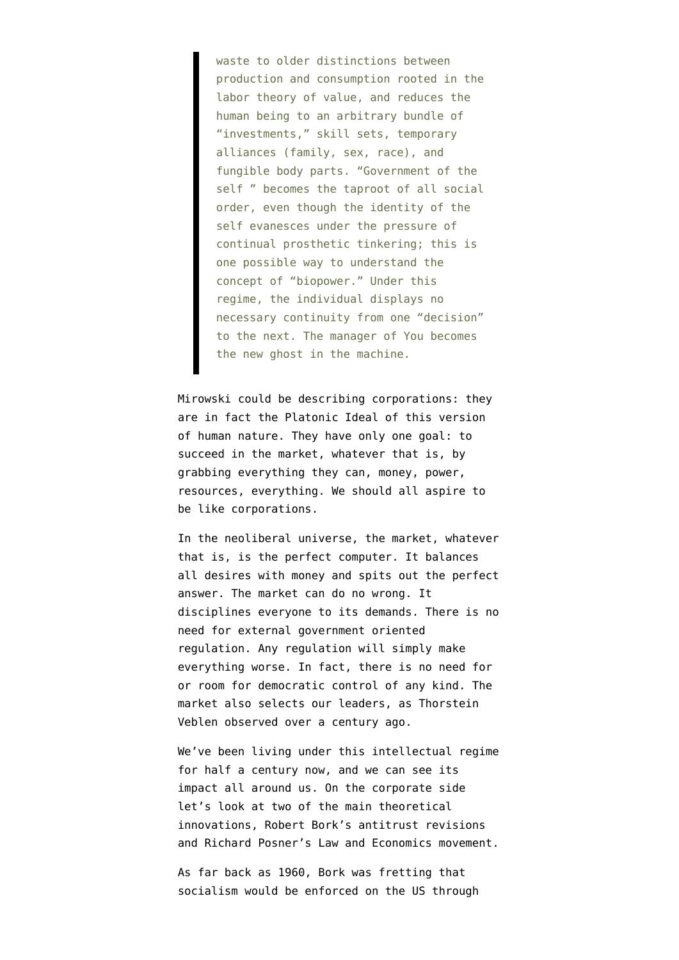waste to older distinctions between production and consumption rooted in the labor theory of value, and reduces the human being to an arbitrary bundle of "investments," skill sets, temporary alliances (family, sex, race), and fungible body parts. "Government of the self " becomes the taproot of all social order, even though the identity of the self evanesces under the pressure of continual prosthetic tinkering; this is one possible way to understand the concept of "biopower." Under this regime, the individual displays no necessary continuity from one "decision" to the next. The manager of You becomes the new ghost in the machine.

Mirowski could be describing corporations: they are in fact the Platonic Ideal of this version of human nature. They have only one goal: to succeed in the market, whatever that is, by grabbing everything they can, money, power, resources, everything. We should all aspire to be like corporations.

In the neoliberal universe, the market, whatever that is, is the perfect computer. It balances all desires with money and spits out the perfect answer. The market can do no wrong. It disciplines everyone to its demands. There is no need for external government oriented regulation. Any regulation will simply make everything worse. In fact, there is no need for or room for democratic control of any kind. The market also selects our leaders, as Thorstein Veblen observed over a century ago.

We've been living under this intellectual regime for half a century now, and we can see its impact all around us. On the corporate side let's look at two of the main theoretical innovations, Robert Bork's antitrust revisions and Richard Posner's Law and Economics movement.

As far back as 1960, Bork was [fretting](https://www.washingtonpost.com/news/wonk/wp/2012/12/20/antitrust-was-defined-by-robert-bork-i-cannot-overstate-his-influence/) that socialism would be enforced on the US through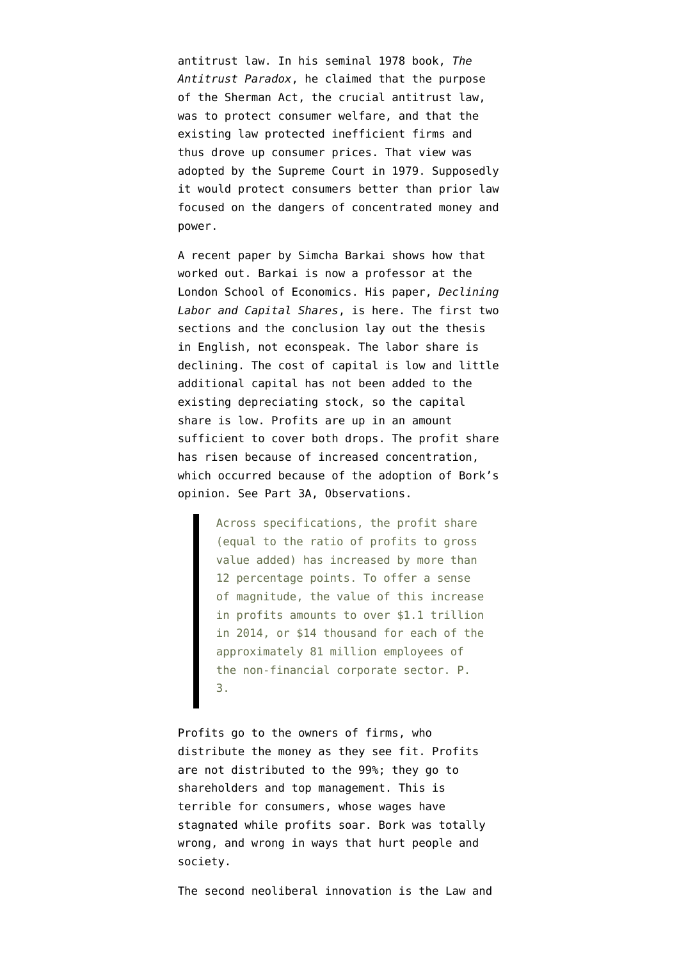antitrust law. In his seminal 1978 book, *The Antitrust Paradox*, he claimed that the purpose of the Sherman Act, the crucial antitrust law, was to protect consumer welfare, and that the existing law protected inefficient firms and thus drove up consumer prices. That view was adopted by the Supreme Court in 1979. Supposedly it would protect consumers better than prior law focused on the dangers of concentrated money and power.

A recent paper by Simcha Barkai shows how that worked out. Barkai is now a professor at the London School of Economics. His paper, *Declining Labor and Capital Shares*, is [here.](http://home.uchicago.edu/~barkai/doc/BarkaiDecliningLaborCapital.pdf) The first two sections and the conclusion lay out the thesis in English, not econspeak. The labor share is declining. The cost of capital is low and little additional capital has not been added to the existing depreciating stock, so the capital share is low. Profits are up in an amount sufficient to cover both drops. The profit share has risen because of increased concentration, which occurred because of the adoption of Bork's opinion. See Part 3A, Observations.

> Across specifications, the profit share (equal to the ratio of profits to gross value added) has increased by more than 12 percentage points. To offer a sense of magnitude, the value of this increase in profits amounts to over \$1.1 trillion in 2014, or \$14 thousand for each of the approximately 81 million employees of the non-financial corporate sector. P. 3.

Profits go to the owners of firms, who distribute the money as they see fit. Profits are not distributed to the 99%; they go to shareholders and top management. This is terrible for consumers, whose wages have stagnated while profits soar. Bork was totally wrong, and wrong in ways that hurt people and society.

The second neoliberal innovation is the Law and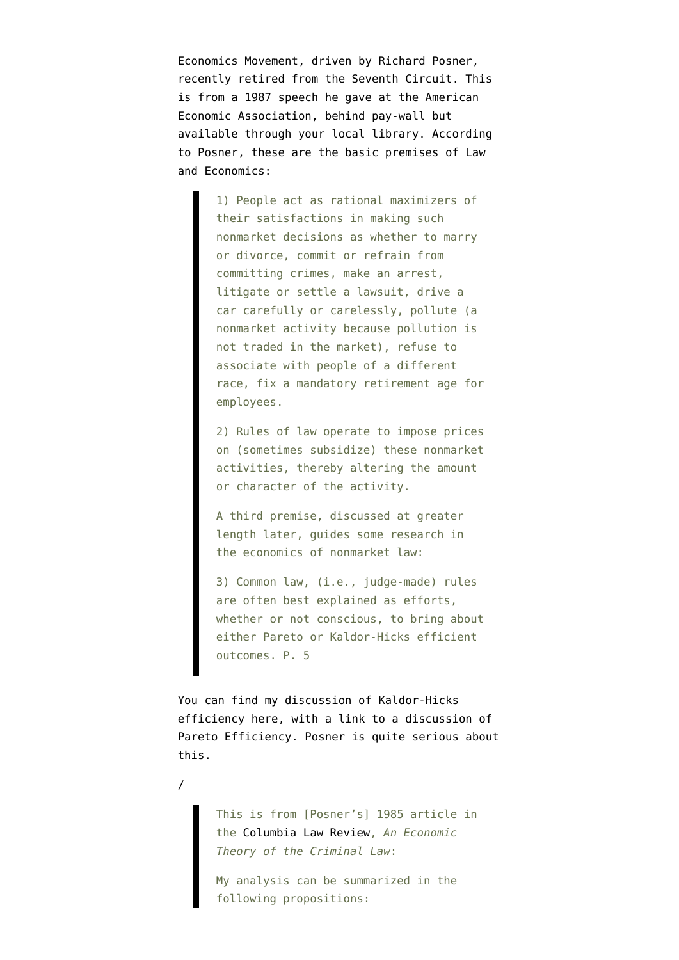Economics Movement, driven by Richard Posner, recently retired from the Seventh Circuit. This is from a [1987 speech](https://www.jstor.org/stable/1805421?seq=1#page_scan_tab_contents) he gave at the American Economic Association, behind pay-wall but available through your local library. According to Posner, these are the basic premises of Law and Economics:

> 1) People act as rational maximizers of their satisfactions in making such nonmarket decisions as whether to marry or divorce, commit or refrain from committing crimes, make an arrest, litigate or settle a lawsuit, drive a car carefully or carelessly, pollute (a nonmarket activity because pollution is not traded in the market), refuse to associate with people of a different race, fix a mandatory retirement age for employees.

> 2) Rules of law operate to impose prices on (sometimes subsidize) these nonmarket activities, thereby altering the amount or character of the activity.

A third premise, discussed at greater length later, guides some research in the economics of nonmarket law:

3) Common law, (i.e., judge-made) rules are often best explained as efforts, whether or not conscious, to bring about either Pareto or Kaldor-Hicks efficient outcomes. P. 5

You can find [my discussion](https://shadowproof.com/2010/09/11/more-economist-foolishness-the-kaldor-hicks-criterion/) of Kaldor-Hicks efficiency here, with a link to a discussion of Pareto Efficiency. Posner is quite [serious](https://shadowproof.com/2010/09/11/more-economist-foolishness-the-kaldor-hicks-criterion/) about this.

/

This is from [Posner's] 1985 article in the [Columbia Law Review,](http://www.masonlec.org/site/rte_uploads/files/Shepherd_Posner%20Economic%20Theory.pdf) *An Economic Theory of the Criminal Law*:

My analysis can be summarized in the following propositions: